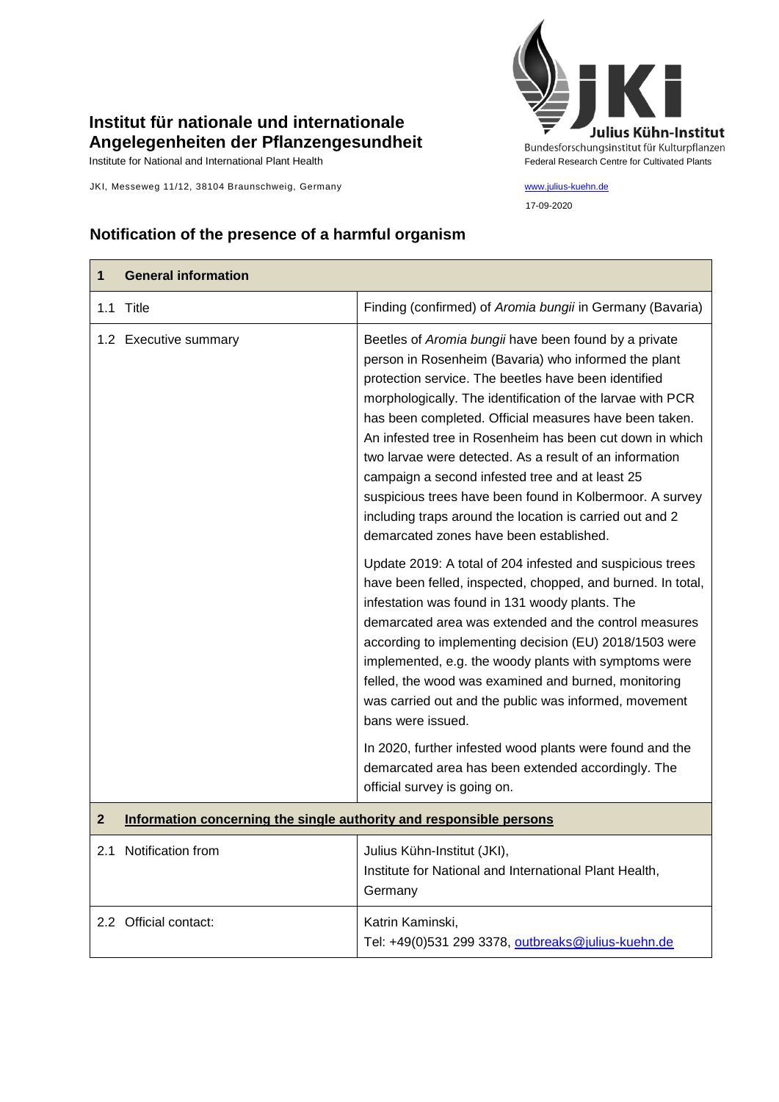## **Institut für nationale und internationale Angelegenheiten der Pflanzengesundheit**

JKI, Messeweg 11/12, 38104 Braunschweig, Germany [www.julius-kuehn.de](http://www.julius-kuehn.de/)



17-09-2020

## **Notification of the presence of a harmful organism**

| 1              | <b>General information</b>                                          |                                                                                                                                                                                                                                                                                                                                                                                                                                                                                                                                                                                                                                            |
|----------------|---------------------------------------------------------------------|--------------------------------------------------------------------------------------------------------------------------------------------------------------------------------------------------------------------------------------------------------------------------------------------------------------------------------------------------------------------------------------------------------------------------------------------------------------------------------------------------------------------------------------------------------------------------------------------------------------------------------------------|
|                | 1.1 Title                                                           | Finding (confirmed) of Aromia bungii in Germany (Bavaria)                                                                                                                                                                                                                                                                                                                                                                                                                                                                                                                                                                                  |
|                | 1.2 Executive summary                                               | Beetles of Aromia bungii have been found by a private<br>person in Rosenheim (Bavaria) who informed the plant<br>protection service. The beetles have been identified<br>morphologically. The identification of the larvae with PCR<br>has been completed. Official measures have been taken.<br>An infested tree in Rosenheim has been cut down in which<br>two larvae were detected. As a result of an information<br>campaign a second infested tree and at least 25<br>suspicious trees have been found in Kolbermoor. A survey<br>including traps around the location is carried out and 2<br>demarcated zones have been established. |
|                |                                                                     | Update 2019: A total of 204 infested and suspicious trees<br>have been felled, inspected, chopped, and burned. In total,<br>infestation was found in 131 woody plants. The<br>demarcated area was extended and the control measures<br>according to implementing decision (EU) 2018/1503 were<br>implemented, e.g. the woody plants with symptoms were<br>felled, the wood was examined and burned, monitoring<br>was carried out and the public was informed, movement<br>bans were issued.<br>In 2020, further infested wood plants were found and the                                                                                   |
|                |                                                                     | demarcated area has been extended accordingly. The<br>official survey is going on.                                                                                                                                                                                                                                                                                                                                                                                                                                                                                                                                                         |
| $\overline{2}$ | Information concerning the single authority and responsible persons |                                                                                                                                                                                                                                                                                                                                                                                                                                                                                                                                                                                                                                            |
|                | 2.1 Notification from                                               | Julius Kühn-Institut (JKI),<br>Institute for National and International Plant Health,<br>Germany                                                                                                                                                                                                                                                                                                                                                                                                                                                                                                                                           |
|                | 2.2 Official contact:                                               | Katrin Kaminski,<br>Tel: +49(0)531 299 3378, outbreaks@julius-kuehn.de                                                                                                                                                                                                                                                                                                                                                                                                                                                                                                                                                                     |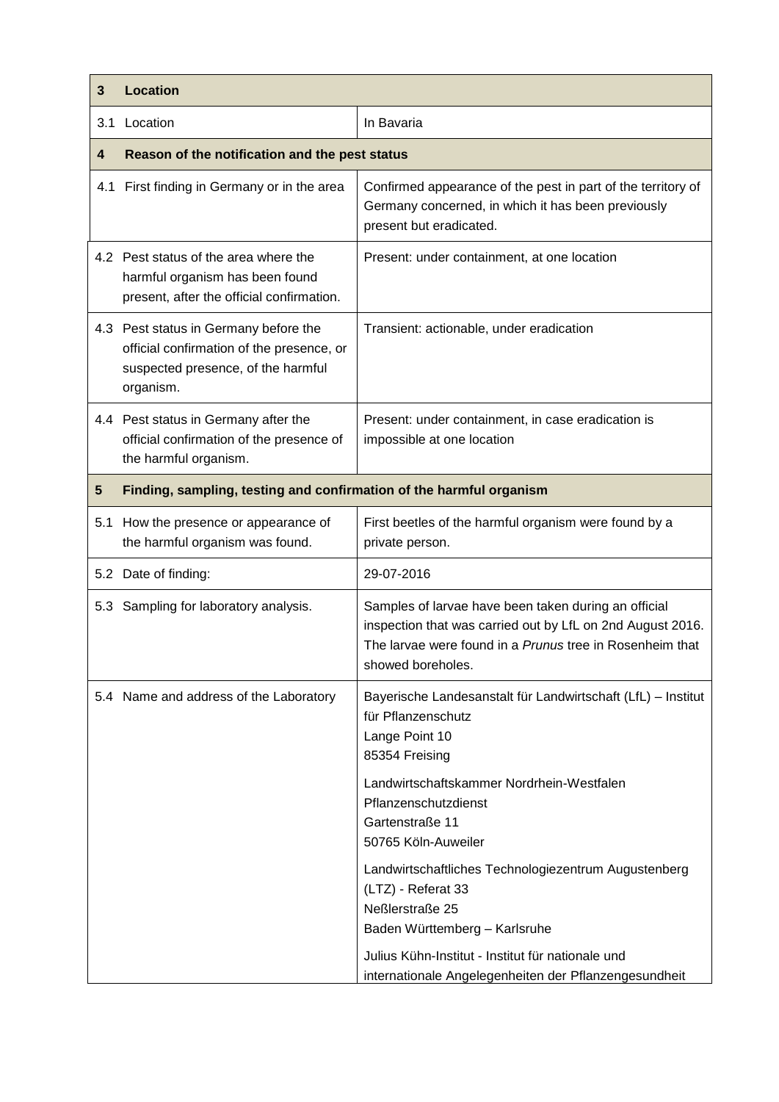| 3   | <b>Location</b>                                                                                                                       |                                                                                                                                                                                                                                                                                                                                                                                                                              |
|-----|---------------------------------------------------------------------------------------------------------------------------------------|------------------------------------------------------------------------------------------------------------------------------------------------------------------------------------------------------------------------------------------------------------------------------------------------------------------------------------------------------------------------------------------------------------------------------|
| 3.1 | Location                                                                                                                              | In Bavaria                                                                                                                                                                                                                                                                                                                                                                                                                   |
| 4   | Reason of the notification and the pest status                                                                                        |                                                                                                                                                                                                                                                                                                                                                                                                                              |
| 4.1 | First finding in Germany or in the area                                                                                               | Confirmed appearance of the pest in part of the territory of<br>Germany concerned, in which it has been previously<br>present but eradicated.                                                                                                                                                                                                                                                                                |
|     | 4.2 Pest status of the area where the<br>harmful organism has been found<br>present, after the official confirmation.                 | Present: under containment, at one location                                                                                                                                                                                                                                                                                                                                                                                  |
|     | 4.3 Pest status in Germany before the<br>official confirmation of the presence, or<br>suspected presence, of the harmful<br>organism. | Transient: actionable, under eradication                                                                                                                                                                                                                                                                                                                                                                                     |
|     | 4.4 Pest status in Germany after the<br>official confirmation of the presence of<br>the harmful organism.                             | Present: under containment, in case eradication is<br>impossible at one location                                                                                                                                                                                                                                                                                                                                             |
| 5   | Finding, sampling, testing and confirmation of the harmful organism                                                                   |                                                                                                                                                                                                                                                                                                                                                                                                                              |
| 5.1 | How the presence or appearance of<br>the harmful organism was found.                                                                  | First beetles of the harmful organism were found by a<br>private person.                                                                                                                                                                                                                                                                                                                                                     |
|     | 5.2 Date of finding:                                                                                                                  | 29-07-2016                                                                                                                                                                                                                                                                                                                                                                                                                   |
|     | 5.3 Sampling for laboratory analysis.                                                                                                 | Samples of larvae have been taken during an official<br>inspection that was carried out by LfL on 2nd August 2016.<br>The larvae were found in a Prunus tree in Rosenheim that<br>showed boreholes.                                                                                                                                                                                                                          |
|     | 5.4 Name and address of the Laboratory                                                                                                | Bayerische Landesanstalt für Landwirtschaft (LfL) - Institut<br>für Pflanzenschutz<br>Lange Point 10<br>85354 Freising<br>Landwirtschaftskammer Nordrhein-Westfalen<br>Pflanzenschutzdienst<br>Gartenstraße 11<br>50765 Köln-Auweiler<br>Landwirtschaftliches Technologiezentrum Augustenberg<br>(LTZ) - Referat 33<br>Neßlerstraße 25<br>Baden Württemberg - Karlsruhe<br>Julius Kühn-Institut - Institut für nationale und |
|     |                                                                                                                                       | internationale Angelegenheiten der Pflanzengesundheit                                                                                                                                                                                                                                                                                                                                                                        |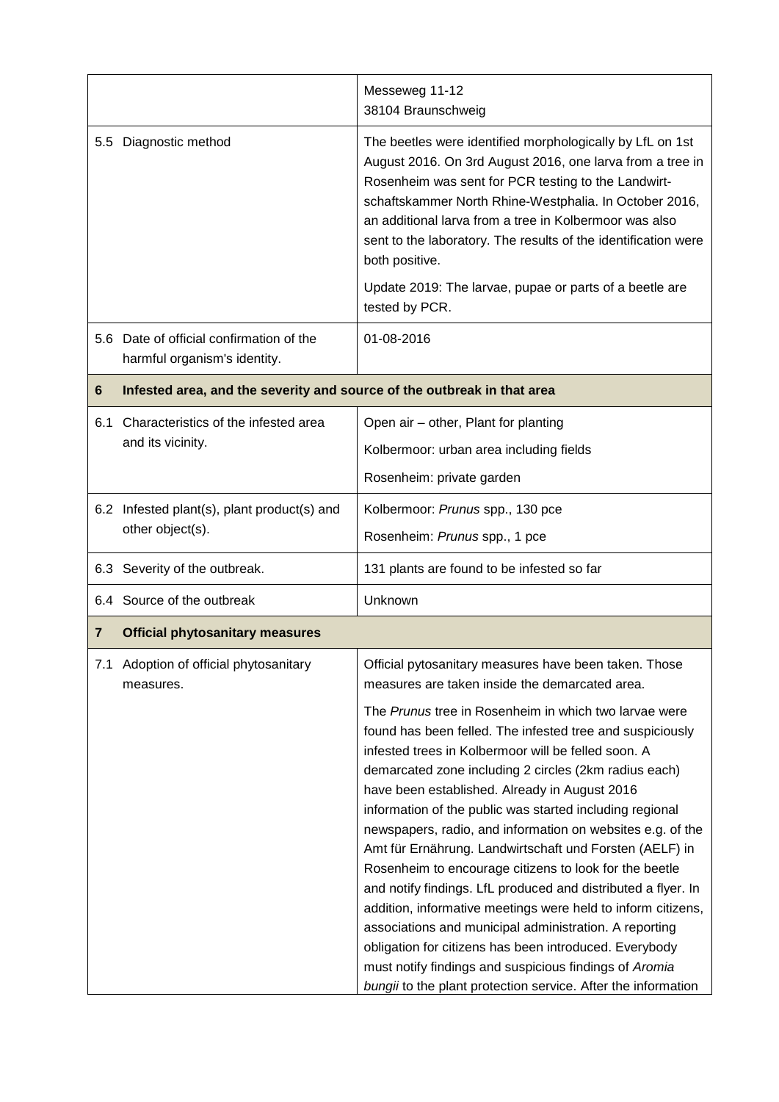|                                        |                                                                          | Messeweg 11-12<br>38104 Braunschweig                                                                                                                                                                                                                                                                                                                                                  |
|----------------------------------------|--------------------------------------------------------------------------|---------------------------------------------------------------------------------------------------------------------------------------------------------------------------------------------------------------------------------------------------------------------------------------------------------------------------------------------------------------------------------------|
| $5.5^{\circ}$                          | Diagnostic method                                                        | The beetles were identified morphologically by LfL on 1st<br>August 2016. On 3rd August 2016, one larva from a tree in<br>Rosenheim was sent for PCR testing to the Landwirt-<br>schaftskammer North Rhine-Westphalia. In October 2016,<br>an additional larva from a tree in Kolbermoor was also<br>sent to the laboratory. The results of the identification were<br>both positive. |
|                                        |                                                                          | Update 2019: The larvae, pupae or parts of a beetle are<br>tested by PCR.                                                                                                                                                                                                                                                                                                             |
|                                        | 5.6 Date of official confirmation of the<br>harmful organism's identity. | 01-08-2016                                                                                                                                                                                                                                                                                                                                                                            |
| 6                                      | Infested area, and the severity and source of the outbreak in that area  |                                                                                                                                                                                                                                                                                                                                                                                       |
| 6.1                                    | Characteristics of the infested area<br>and its vicinity.                | Open air – other, Plant for planting                                                                                                                                                                                                                                                                                                                                                  |
|                                        |                                                                          | Kolbermoor: urban area including fields                                                                                                                                                                                                                                                                                                                                               |
|                                        |                                                                          | Rosenheim: private garden                                                                                                                                                                                                                                                                                                                                                             |
|                                        | 6.2 Infested plant(s), plant product(s) and<br>other object(s).          | Kolbermoor: Prunus spp., 130 pce                                                                                                                                                                                                                                                                                                                                                      |
|                                        |                                                                          | Rosenheim: Prunus spp., 1 pce                                                                                                                                                                                                                                                                                                                                                         |
|                                        | 6.3 Severity of the outbreak.                                            | 131 plants are found to be infested so far                                                                                                                                                                                                                                                                                                                                            |
|                                        | 6.4 Source of the outbreak                                               | Unknown                                                                                                                                                                                                                                                                                                                                                                               |
| 7                                      | <b>Official phytosanitary measures</b>                                   |                                                                                                                                                                                                                                                                                                                                                                                       |
| 7.1 Adoption of official phytosanitary |                                                                          |                                                                                                                                                                                                                                                                                                                                                                                       |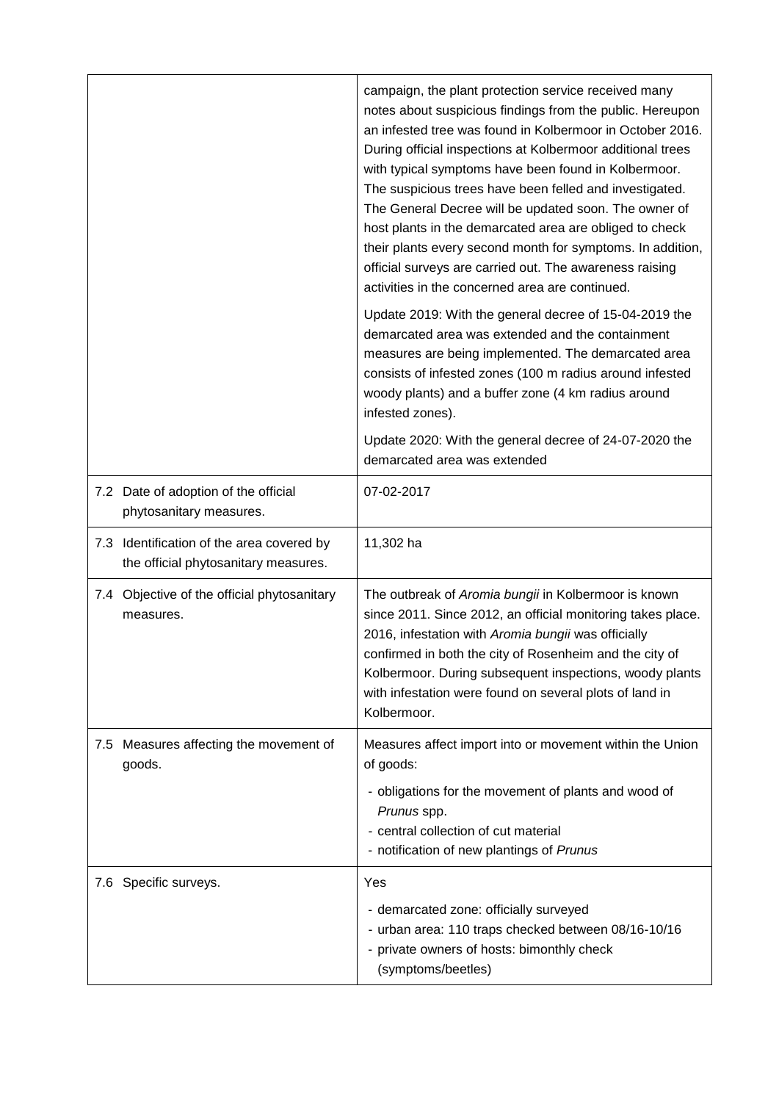|                                                                                   | campaign, the plant protection service received many<br>notes about suspicious findings from the public. Hereupon<br>an infested tree was found in Kolbermoor in October 2016.<br>During official inspections at Kolbermoor additional trees<br>with typical symptoms have been found in Kolbermoor.<br>The suspicious trees have been felled and investigated.<br>The General Decree will be updated soon. The owner of<br>host plants in the demarcated area are obliged to check<br>their plants every second month for symptoms. In addition,<br>official surveys are carried out. The awareness raising<br>activities in the concerned area are continued. |
|-----------------------------------------------------------------------------------|-----------------------------------------------------------------------------------------------------------------------------------------------------------------------------------------------------------------------------------------------------------------------------------------------------------------------------------------------------------------------------------------------------------------------------------------------------------------------------------------------------------------------------------------------------------------------------------------------------------------------------------------------------------------|
|                                                                                   | Update 2019: With the general decree of 15-04-2019 the<br>demarcated area was extended and the containment<br>measures are being implemented. The demarcated area<br>consists of infested zones (100 m radius around infested<br>woody plants) and a buffer zone (4 km radius around<br>infested zones).                                                                                                                                                                                                                                                                                                                                                        |
|                                                                                   | Update 2020: With the general decree of 24-07-2020 the<br>demarcated area was extended                                                                                                                                                                                                                                                                                                                                                                                                                                                                                                                                                                          |
| 7.2 Date of adoption of the official<br>phytosanitary measures.                   | 07-02-2017                                                                                                                                                                                                                                                                                                                                                                                                                                                                                                                                                                                                                                                      |
| 7.3 Identification of the area covered by<br>the official phytosanitary measures. | 11,302 ha                                                                                                                                                                                                                                                                                                                                                                                                                                                                                                                                                                                                                                                       |
| 7.4 Objective of the official phytosanitary<br>measures.                          | The outbreak of Aromia bungii in Kolbermoor is known<br>since 2011. Since 2012, an official monitoring takes place.<br>2016, infestation with Aromia bungii was officially<br>confirmed in both the city of Rosenheim and the city of<br>Kolbermoor. During subsequent inspections, woody plants<br>with infestation were found on several plots of land in<br>Kolbermoor.                                                                                                                                                                                                                                                                                      |
| 7.5 Measures affecting the movement of<br>goods.                                  | Measures affect import into or movement within the Union<br>of goods:<br>- obligations for the movement of plants and wood of<br>Prunus spp.                                                                                                                                                                                                                                                                                                                                                                                                                                                                                                                    |
|                                                                                   | - central collection of cut material<br>- notification of new plantings of Prunus                                                                                                                                                                                                                                                                                                                                                                                                                                                                                                                                                                               |
| 7.6 Specific surveys.                                                             | Yes                                                                                                                                                                                                                                                                                                                                                                                                                                                                                                                                                                                                                                                             |
|                                                                                   | - demarcated zone: officially surveyed<br>- urban area: 110 traps checked between 08/16-10/16<br>- private owners of hosts: bimonthly check<br>(symptoms/beetles)                                                                                                                                                                                                                                                                                                                                                                                                                                                                                               |